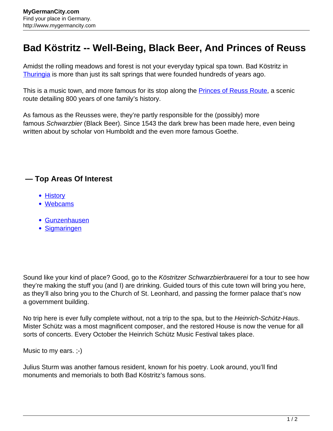## **Bad Köstritz -- Well-Being, Black Beer, And Princes of Reuss**

Amidst the rolling meadows and forest is not your everyday typical spa town. Bad Köstritz in [Thuringia](http://www.mygermancity.com/thuringia) is more than just its salt springs that were founded hundreds of years ago.

This is a music town, and more famous for its stop along the **Princes of Reuss Route**, a scenic route detailing 800 years of one family's history.

As famous as the Reusses were, they're partly responsible for the (possibly) more famous Schwarzbier (Black Beer). Since 1543 the dark brew has been made here, even being written about by scholar von Humboldt and the even more famous Goethe.

## **— Top Areas Of Interest**

- [History](http://www.mygermancity.com/leipzig-history)
- [Webcams](http://www.mygermancity.com/neustadt-holstein-webcams)
- [Gunzenhausen](http://www.mygermancity.com/gunzenhausen)
- [Sigmaringen](http://www.mygermancity.com/sigmaringen)

Sound like your kind of place? Good, go to the Köstritzer Schwarzbierbrauerei for a tour to see how they're making the stuff you (and I) are drinking. Guided tours of this cute town will bring you here, as they'll also bring you to the Church of St. Leonhard, and passing the former palace that's now a government building.

No trip here is ever fully complete without, not a trip to the spa, but to the Heinrich-Schütz-Haus. Mister Schütz was a most magnificent composer, and the restored House is now the venue for all sorts of concerts. Every October the Heinrich Schütz Music Festival takes place.

Music to my ears. ;-)

Julius Sturm was another famous resident, known for his poetry. Look around, you'll find monuments and memorials to both Bad Köstritz's famous sons.